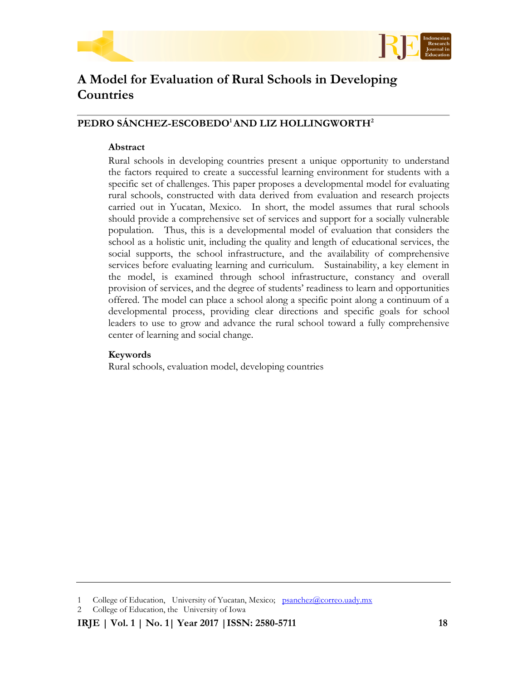



# **A Model for Evaluation of Rural Schools in Developing Countries**

# **PEDRO SÁNCHEZ-ESCOBEDO<sup>1</sup>AND LIZ HOLLINGWORTH<sup>2</sup>**

# **Abstract**

Rural schools in developing countries present a unique opportunity to understand the factors required to create a successful learning environment for students with a specific set of challenges. This paper proposes a developmental model for evaluating rural schools, constructed with data derived from evaluation and research projects carried out in Yucatan, Mexico. In short, the model assumes that rural schools should provide a comprehensive set of services and support for a socially vulnerable population. Thus, this is a developmental model of evaluation that considers the school as a holistic unit, including the quality and length of educational services, the social supports, the school infrastructure, and the availability of comprehensive services before evaluating learning and curriculum. Sustainability, a key element in the model, is examined through school infrastructure, constancy and overall provision of services, and the degree of students' readiness to learn and opportunities offered. The model can place a school along a specific point along a continuum of a developmental process, providing clear directions and specific goals for school leaders to use to grow and advance the rural school toward a fully comprehensive center of learning and social change.

# **Keywords**

Rural schools, evaluation model, developing countries

<sup>1</sup> College of Education, University of Yucatan, Mexico; [psanchez@correo.uady.mx](mailto:psanchez@correo.uady.mx)

<sup>2</sup> College of Education, the University of Iowa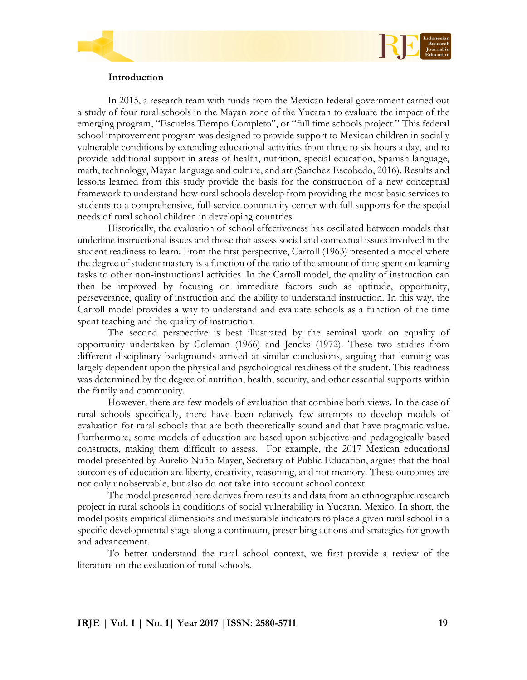

# **Introduction**

In 2015, a research team with funds from the Mexican federal government carried out a study of four rural schools in the Mayan zone of the Yucatan to evaluate the impact of the emerging program, "Escuelas Tiempo Completo", or "full time schools project." This federal school improvement program was designed to provide support to Mexican children in socially vulnerable conditions by extending educational activities from three to six hours a day, and to provide additional support in areas of health, nutrition, special education, Spanish language, math, technology, Mayan language and culture, and art (Sanchez Escobedo, 2016). Results and lessons learned from this study provide the basis for the construction of a new conceptual framework to understand how rural schools develop from providing the most basic services to students to a comprehensive, full-service community center with full supports for the special needs of rural school children in developing countries.

Historically, the evaluation of school effectiveness has oscillated between models that underline instructional issues and those that assess social and contextual issues involved in the student readiness to learn. From the first perspective, Carroll (1963) presented a model where the degree of student mastery is a function of the ratio of the amount of time spent on learning tasks to other non-instructional activities. In the Carroll model, the quality of instruction can then be improved by focusing on immediate factors such as aptitude, opportunity, perseverance, quality of instruction and the ability to understand instruction. In this way, the Carroll model provides a way to understand and evaluate schools as a function of the time spent teaching and the quality of instruction.

The second perspective is best illustrated by the seminal work on equality of opportunity undertaken by Coleman (1966) and Jencks (1972). These two studies from different disciplinary backgrounds arrived at similar conclusions, arguing that learning was largely dependent upon the physical and psychological readiness of the student. This readiness was determined by the degree of nutrition, health, security, and other essential supports within the family and community.

However, there are few models of evaluation that combine both views. In the case of rural schools specifically, there have been relatively few attempts to develop models of evaluation for rural schools that are both theoretically sound and that have pragmatic value. Furthermore, some models of education are based upon subjective and pedagogically-based constructs, making them difficult to assess. For example, the 2017 Mexican educational model presented by Aurelio Nuño Mayer, Secretary of Public Education, argues that the final outcomes of education are liberty, creativity, reasoning, and not memory. These outcomes are not only unobservable, but also do not take into account school context.

The model presented here derives from results and data from an ethnographic research project in rural schools in conditions of social vulnerability in Yucatan, Mexico. In short, the model posits empirical dimensions and measurable indicators to place a given rural school in a specific developmental stage along a continuum, prescribing actions and strategies for growth and advancement.

To better understand the rural school context, we first provide a review of the literature on the evaluation of rural schools.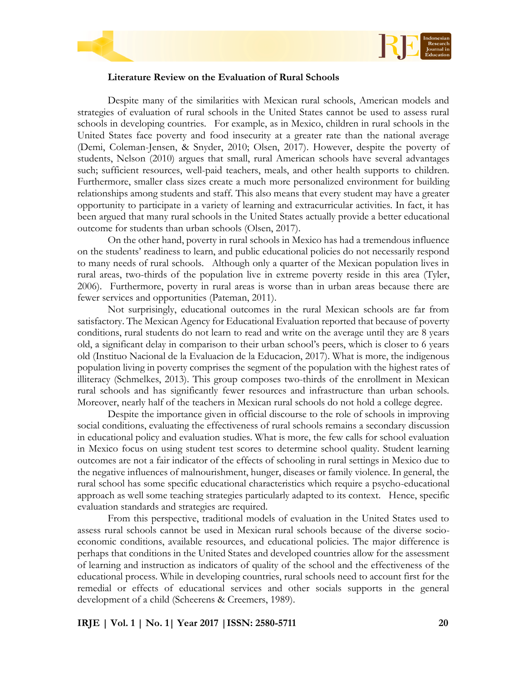



# **Literature Review on the Evaluation of Rural Schools**

Despite many of the similarities with Mexican rural schools, American models and strategies of evaluation of rural schools in the United States cannot be used to assess rural schools in developing countries. For example, as in Mexico, children in rural schools in the United States face poverty and food insecurity at a greater rate than the national average (Demi, Coleman-Jensen, & Snyder, 2010; Olsen, 2017). However, despite the poverty of students, Nelson (2010) argues that small, rural American schools have several advantages such; sufficient resources, well-paid teachers, meals, and other health supports to children. Furthermore, smaller class sizes create a much more personalized environment for building relationships among students and staff. This also means that every student may have a greater opportunity to participate in a variety of learning and extracurricular activities. In fact, it has been argued that many rural schools in the United States actually provide a better educational outcome for students than urban schools (Olsen, 2017).

On the other hand, poverty in rural schools in Mexico has had a tremendous influence on the students' readiness to learn, and public educational policies do not necessarily respond to many needs of rural schools. Although only a quarter of the Mexican population lives in rural areas, two-thirds of the population live in extreme poverty reside in this area (Tyler, 2006). Furthermore, poverty in rural areas is worse than in urban areas because there are fewer services and opportunities (Pateman, 2011).

Not surprisingly, educational outcomes in the rural Mexican schools are far from satisfactory. The Mexican Agency for Educational Evaluation reported that because of poverty conditions, rural students do not learn to read and write on the average until they are 8 years old, a significant delay in comparison to their urban school's peers, which is closer to 6 years old (Instituo Nacional de la Evaluacion de la Educacion, 2017). What is more, the indigenous population living in poverty comprises the segment of the population with the highest rates of illiteracy (Schmelkes, 2013). This group composes two-thirds of the enrollment in Mexican rural schools and has significantly fewer resources and infrastructure than urban schools. Moreover, nearly half of the teachers in Mexican rural schools do not hold a college degree.

Despite the importance given in official discourse to the role of schools in improving social conditions, evaluating the effectiveness of rural schools remains a secondary discussion in educational policy and evaluation studies. What is more, the few calls for school evaluation in Mexico focus on using student test scores to determine school quality. Student learning outcomes are not a fair indicator of the effects of schooling in rural settings in Mexico due to the negative influences of malnourishment, hunger, diseases or family violence. In general, the rural school has some specific educational characteristics which require a psycho-educational approach as well some teaching strategies particularly adapted to its context. Hence, specific evaluation standards and strategies are required.

From this perspective, traditional models of evaluation in the United States used to assess rural schools cannot be used in Mexican rural schools because of the diverse socioeconomic conditions, available resources, and educational policies. The major difference is perhaps that conditions in the United States and developed countries allow for the assessment of learning and instruction as indicators of quality of the school and the effectiveness of the educational process. While in developing countries, rural schools need to account first for the remedial or effects of educational services and other socials supports in the general development of a child (Scheerens & Creemers, 1989).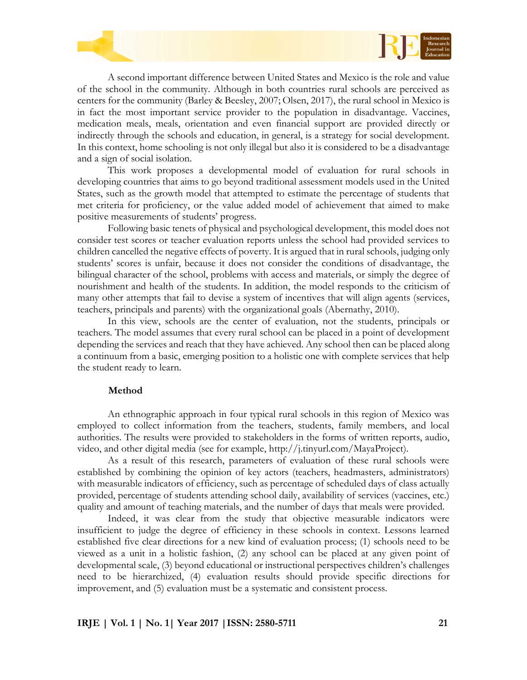



A second important difference between United States and Mexico is the role and value of the school in the community. Although in both countries rural schools are perceived as centers for the community (Barley & Beesley, 2007; Olsen, 2017), the rural school in Mexico is in fact the most important service provider to the population in disadvantage. Vaccines, medication meals, meals, orientation and even financial support are provided directly or indirectly through the schools and education, in general, is a strategy for social development. In this context, home schooling is not only illegal but also it is considered to be a disadvantage and a sign of social isolation.

This work proposes a developmental model of evaluation for rural schools in developing countries that aims to go beyond traditional assessment models used in the United States, such as the growth model that attempted to estimate the percentage of students that met criteria for proficiency, or the value added model of achievement that aimed to make positive measurements of students' progress.

Following basic tenets of physical and psychological development, this model does not consider test scores or teacher evaluation reports unless the school had provided services to children cancelled the negative effects of poverty. It is argued that in rural schools, judging only students' scores is unfair, because it does not consider the conditions of disadvantage, the bilingual character of the school, problems with access and materials, or simply the degree of nourishment and health of the students. In addition, the model responds to the criticism of many other attempts that fail to devise a system of incentives that will align agents (services, teachers, principals and parents) with the organizational goals (Abernathy, 2010).

In this view, schools are the center of evaluation, not the students, principals or teachers. The model assumes that every rural school can be placed in a point of development depending the services and reach that they have achieved. Any school then can be placed along a continuum from a basic, emerging position to a holistic one with complete services that help the student ready to learn.

#### **Method**

An ethnographic approach in four typical rural schools in this region of Mexico was employed to collect information from the teachers, students, family members, and local authorities. The results were provided to stakeholders in the forms of written reports, audio, video, and other digital media (see for example, http://j.tinyurl.com/MayaProject).

As a result of this research, parameters of evaluation of these rural schools were established by combining the opinion of key actors (teachers, headmasters, administrators) with measurable indicators of efficiency, such as percentage of scheduled days of class actually provided, percentage of students attending school daily, availability of services (vaccines, etc.) quality and amount of teaching materials, and the number of days that meals were provided.

Indeed, it was clear from the study that objective measurable indicators were insufficient to judge the degree of efficiency in these schools in context. Lessons learned established five clear directions for a new kind of evaluation process; (1) schools need to be viewed as a unit in a holistic fashion, (2) any school can be placed at any given point of developmental scale, (3) beyond educational or instructional perspectives children's challenges need to be hierarchized, (4) evaluation results should provide specific directions for improvement, and (5) evaluation must be a systematic and consistent process.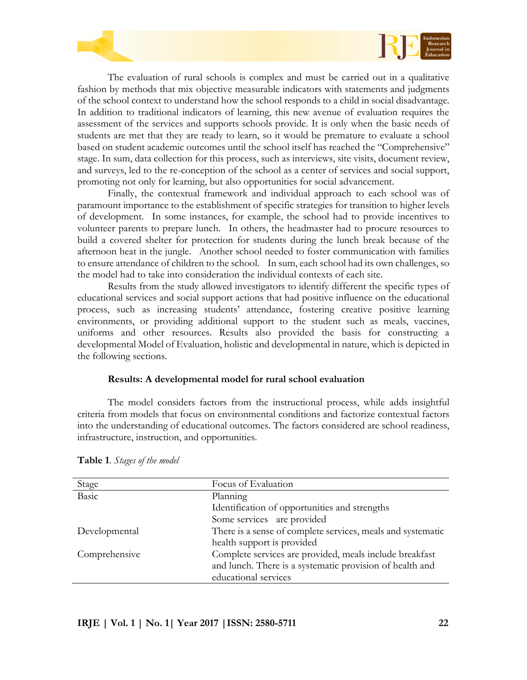

The evaluation of rural schools is complex and must be carried out in a qualitative fashion by methods that mix objective measurable indicators with statements and judgments of the school context to understand how the school responds to a child in social disadvantage. In addition to traditional indicators of learning, this new avenue of evaluation requires the assessment of the services and supports schools provide. It is only when the basic needs of students are met that they are ready to learn, so it would be premature to evaluate a school based on student academic outcomes until the school itself has reached the "Comprehensive" stage. In sum, data collection for this process, such as interviews, site visits, document review, and surveys, led to the re-conception of the school as a center of services and social support, promoting not only for learning, but also opportunities for social advancement.

Finally, the contextual framework and individual approach to each school was of paramount importance to the establishment of specific strategies for transition to higher levels of development. In some instances, for example, the school had to provide incentives to volunteer parents to prepare lunch. In others, the headmaster had to procure resources to build a covered shelter for protection for students during the lunch break because of the afternoon heat in the jungle. Another school needed to foster communication with families to ensure attendance of children to the school. In sum, each school had its own challenges, so the model had to take into consideration the individual contexts of each site.

Results from the study allowed investigators to identify different the specific types of educational services and social support actions that had positive influence on the educational process, such as increasing students' attendance, fostering creative positive learning environments, or providing additional support to the student such as meals, vaccines, uniforms and other resources. Results also provided the basis for constructing a developmental Model of Evaluation, holistic and developmental in nature, which is depicted in the following sections.

# **Results: A developmental model for rural school evaluation**

The model considers factors from the instructional process, while adds insightful criteria from models that focus on environmental conditions and factorize contextual factors into the understanding of educational outcomes. The factors considered are school readiness, infrastructure, instruction, and opportunities.

| Stage         | Focus of Evaluation                                         |  |
|---------------|-------------------------------------------------------------|--|
| Basic         | Planning                                                    |  |
|               | Identification of opportunities and strengths               |  |
|               | Some services are provided                                  |  |
| Developmental | There is a sense of complete services, meals and systematic |  |
|               | health support is provided                                  |  |
| Comprehensive | Complete services are provided, meals include breakfast     |  |
|               | and lunch. There is a systematic provision of health and    |  |
|               | educational services                                        |  |

**Table 1**. *Stages of the model*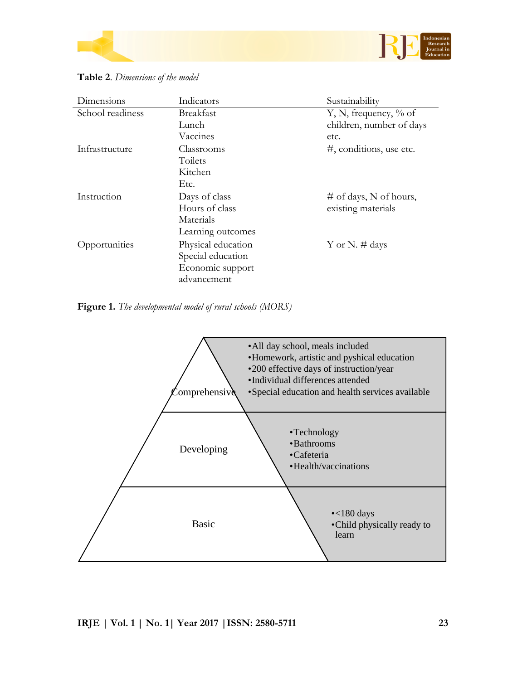



| Dimensions       | Indicators                              | Sustainability              |
|------------------|-----------------------------------------|-----------------------------|
| School readiness | <b>Breakfast</b>                        | Y, N, frequency, $\%$ of    |
|                  | Lunch                                   | children, number of days    |
|                  | Vaccines                                | etc.                        |
| Infrastructure   | Classrooms                              | $\#$ , conditions, use etc. |
|                  | Toilets                                 |                             |
|                  | Kitchen                                 |                             |
|                  | Etc.                                    |                             |
| Instruction      | Days of class                           | # of days, N of hours,      |
|                  | Hours of class                          | existing materials          |
|                  | Materials                               |                             |
|                  | Learning outcomes                       |                             |
|                  |                                         |                             |
|                  |                                         |                             |
|                  | Economic support                        |                             |
|                  | advancement                             |                             |
| Opportunities    | Physical education<br>Special education | Y or N. $\#$ days           |

**Table 2**. *Dimensions of the model*

**Figure 1.** *The developmental model of rural schools (MORS)*

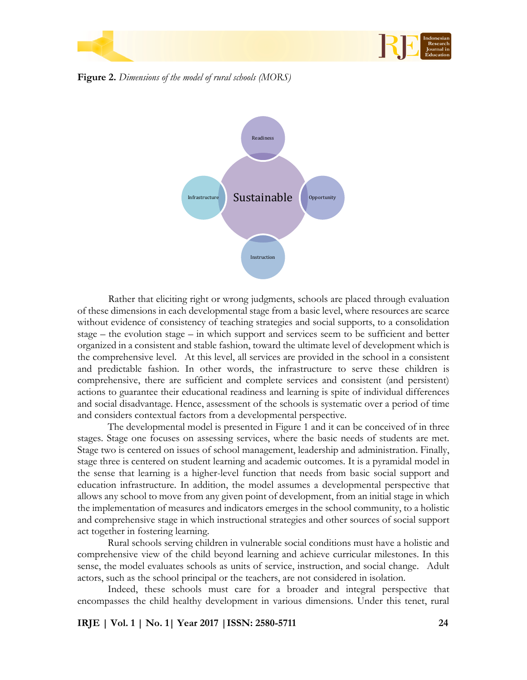

**Figure 2.** *Dimensions of the model of rural schools (MORS)*



Rather that eliciting right or wrong judgments, schools are placed through evaluation of these dimensions in each developmental stage from a basic level, where resources are scarce without evidence of consistency of teaching strategies and social supports, to a consolidation stage – the evolution stage – in which support and services seem to be sufficient and better organized in a consistent and stable fashion, toward the ultimate level of development which is the comprehensive level. At this level, all services are provided in the school in a consistent and predictable fashion. In other words, the infrastructure to serve these children is comprehensive, there are sufficient and complete services and consistent (and persistent) actions to guarantee their educational readiness and learning is spite of individual differences and social disadvantage. Hence, assessment of the schools is systematic over a period of time and considers contextual factors from a developmental perspective.

The developmental model is presented in Figure 1 and it can be conceived of in three stages. Stage one focuses on assessing services, where the basic needs of students are met. Stage two is centered on issues of school management, leadership and administration. Finally, stage three is centered on student learning and academic outcomes. It is a pyramidal model in the sense that learning is a higher-level function that needs from basic social support and education infrastructure. In addition, the model assumes a developmental perspective that allows any school to move from any given point of development, from an initial stage in which the implementation of measures and indicators emerges in the school community, to a holistic and comprehensive stage in which instructional strategies and other sources of social support act together in fostering learning.

Rural schools serving children in vulnerable social conditions must have a holistic and comprehensive view of the child beyond learning and achieve curricular milestones. In this sense, the model evaluates schools as units of service, instruction, and social change. Adult actors, such as the school principal or the teachers, are not considered in isolation.

Indeed, these schools must care for a broader and integral perspective that encompasses the child healthy development in various dimensions. Under this tenet, rural

**IRJE | Vol. 1 | No. 1| Year 2017 |ISSN: 2580-5711 24**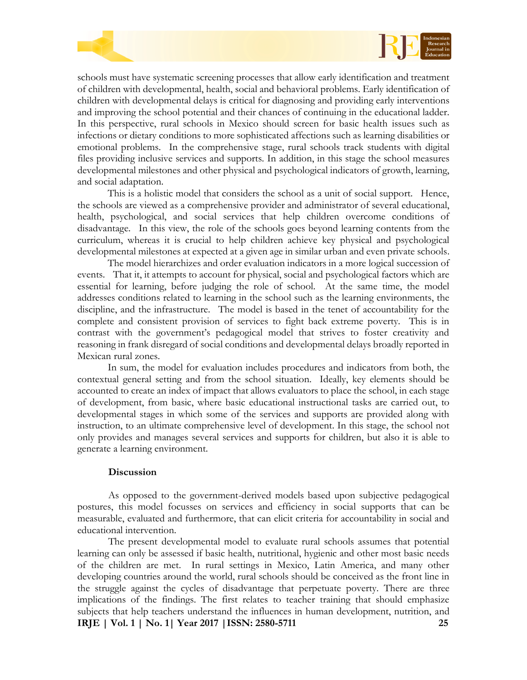



schools must have systematic screening processes that allow early identification and treatment of children with developmental, health, social and behavioral problems. Early identification of children with developmental delays is critical for diagnosing and providing early interventions and improving the school potential and their chances of continuing in the educational ladder. In this perspective, rural schools in Mexico should screen for basic health issues such as infections or dietary conditions to more sophisticated affections such as learning disabilities or emotional problems. In the comprehensive stage, rural schools track students with digital files providing inclusive services and supports. In addition, in this stage the school measures developmental milestones and other physical and psychological indicators of growth, learning, and social adaptation.

This is a holistic model that considers the school as a unit of social support. Hence, the schools are viewed as a comprehensive provider and administrator of several educational, health, psychological, and social services that help children overcome conditions of disadvantage. In this view, the role of the schools goes beyond learning contents from the curriculum, whereas it is crucial to help children achieve key physical and psychological developmental milestones at expected at a given age in similar urban and even private schools.

The model hierarchizes and order evaluation indicators in a more logical succession of events. That it, it attempts to account for physical, social and psychological factors which are essential for learning, before judging the role of school. At the same time, the model addresses conditions related to learning in the school such as the learning environments, the discipline, and the infrastructure. The model is based in the tenet of accountability for the complete and consistent provision of services to fight back extreme poverty. This is in contrast with the government's pedagogical model that strives to foster creativity and reasoning in frank disregard of social conditions and developmental delays broadly reported in Mexican rural zones.

In sum, the model for evaluation includes procedures and indicators from both, the contextual general setting and from the school situation. Ideally, key elements should be accounted to create an index of impact that allows evaluators to place the school, in each stage of development, from basic, where basic educational instructional tasks are carried out, to developmental stages in which some of the services and supports are provided along with instruction, to an ultimate comprehensive level of development. In this stage, the school not only provides and manages several services and supports for children, but also it is able to generate a learning environment.

# **Discussion**

As opposed to the government-derived models based upon subjective pedagogical postures, this model focusses on services and efficiency in social supports that can be measurable, evaluated and furthermore, that can elicit criteria for accountability in social and educational intervention.

**IRJE | Vol. 1 | No. 1| Year 2017 |ISSN: 2580-5711 25** The present developmental model to evaluate rural schools assumes that potential learning can only be assessed if basic health, nutritional, hygienic and other most basic needs of the children are met. In rural settings in Mexico, Latin America, and many other developing countries around the world, rural schools should be conceived as the front line in the struggle against the cycles of disadvantage that perpetuate poverty. There are three implications of the findings. The first relates to teacher training that should emphasize subjects that help teachers understand the influences in human development, nutrition, and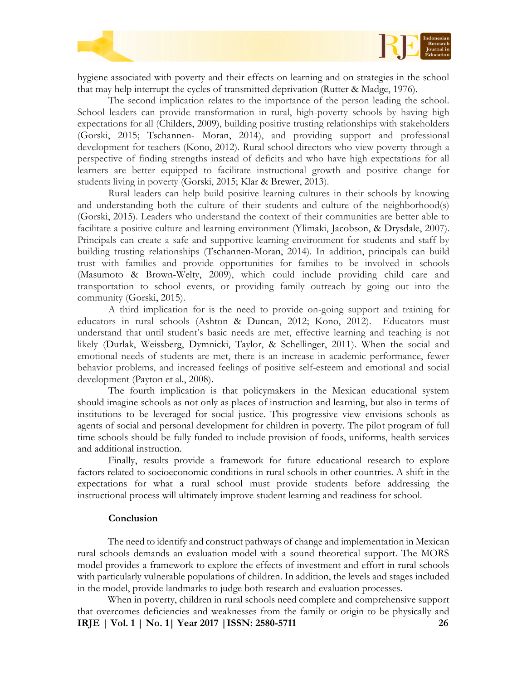

hygiene associated with poverty and their effects on learning and on strategies in the school that may help interrupt the cycles of transmitted deprivation (Rutter & Madge, 1976).

The second implication relates to the importance of the person leading the school. School leaders can provide transformation in rural, high-poverty schools by having high expectations for all (Childers, 2009), building positive trusting relationships with stakeholders (Gorski, 2015; Tschannen- Moran, 2014), and providing support and professional development for teachers (Kono, 2012). Rural school directors who view poverty through a perspective of finding strengths instead of deficits and who have high expectations for all learners are better equipped to facilitate instructional growth and positive change for students living in poverty (Gorski, 2015; Klar & Brewer, 2013).

Rural leaders can help build positive learning cultures in their schools by knowing and understanding both the culture of their students and culture of the neighborhood(s) (Gorski, 2015). Leaders who understand the context of their communities are better able to facilitate a positive culture and learning environment (Ylimaki, Jacobson, & Drysdale, 2007). Principals can create a safe and supportive learning environment for students and staff by building trusting relationships (Tschannen-Moran, 2014). In addition, principals can build trust with families and provide opportunities for families to be involved in schools (Masumoto & Brown-Welty, 2009), which could include providing child care and transportation to school events, or providing family outreach by going out into the community (Gorski, 2015).

A third implication for is the need to provide on-going support and training for educators in rural schools (Ashton & Duncan, 2012; Kono, 2012). Educators must understand that until student's basic needs are met, effective learning and teaching is not likely (Durlak, Weissberg, Dymnicki, Taylor, & Schellinger, 2011). When the social and emotional needs of students are met, there is an increase in academic performance, fewer behavior problems, and increased feelings of positive self-esteem and emotional and social development (Payton et al., 2008).

The fourth implication is that policymakers in the Mexican educational system should imagine schools as not only as places of instruction and learning, but also in terms of institutions to be leveraged for social justice. This progressive view envisions schools as agents of social and personal development for children in poverty. The pilot program of full time schools should be fully funded to include provision of foods, uniforms, health services and additional instruction.

Finally, results provide a framework for future educational research to explore factors related to socioeconomic conditions in rural schools in other countries. A shift in the expectations for what a rural school must provide students before addressing the instructional process will ultimately improve student learning and readiness for school.

#### **Conclusion**

The need to identify and construct pathways of change and implementation in Mexican rural schools demands an evaluation model with a sound theoretical support. The MORS model provides a framework to explore the effects of investment and effort in rural schools with particularly vulnerable populations of children. In addition, the levels and stages included in the model, provide landmarks to judge both research and evaluation processes.

**IRJE | Vol. 1 | No. 1| Year 2017 |ISSN: 2580-5711 26** When in poverty, children in rural schools need complete and comprehensive support that overcomes deficiencies and weaknesses from the family or origin to be physically and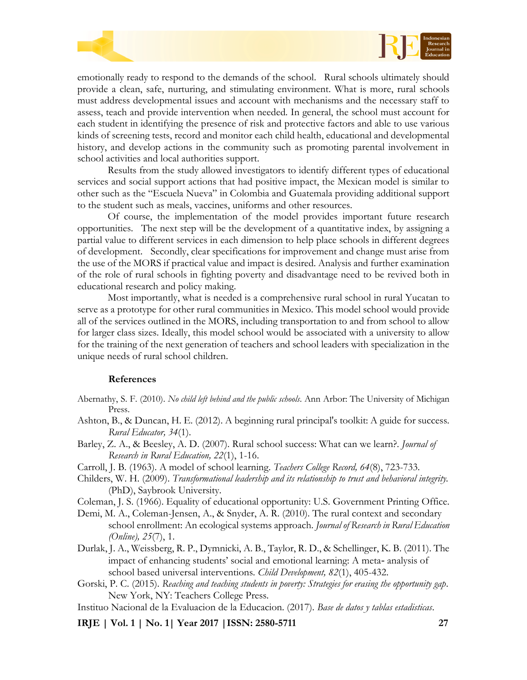



emotionally ready to respond to the demands of the school. Rural schools ultimately should provide a clean, safe, nurturing, and stimulating environment. What is more, rural schools must address developmental issues and account with mechanisms and the necessary staff to assess, teach and provide intervention when needed. In general, the school must account for each student in identifying the presence of risk and protective factors and able to use various kinds of screening tests, record and monitor each child health, educational and developmental history, and develop actions in the community such as promoting parental involvement in school activities and local authorities support.

Results from the study allowed investigators to identify different types of educational services and social support actions that had positive impact, the Mexican model is similar to other such as the "Escuela Nueva" in Colombia and Guatemala providing additional support to the student such as meals, vaccines, uniforms and other resources.

Of course, the implementation of the model provides important future research opportunities. The next step will be the development of a quantitative index, by assigning a partial value to different services in each dimension to help place schools in different degrees of development. Secondly, clear specifications for improvement and change must arise from the use of the MORS if practical value and impact is desired. Analysis and further examination of the role of rural schools in fighting poverty and disadvantage need to be revived both in educational research and policy making.

Most importantly, what is needed is a comprehensive rural school in rural Yucatan to serve as a prototype for other rural communities in Mexico. This model school would provide all of the services outlined in the MORS, including transportation to and from school to allow for larger class sizes. Ideally, this model school would be associated with a university to allow for the training of the next generation of teachers and school leaders with specialization in the unique needs of rural school children.

# **References**

- Abernathy, S. F. (2010). *No child left behind and the public schools*. Ann Arbor: The University of Michigan Press.
- Ashton, B., & Duncan, H. E. (2012). A beginning rural principal's toolkit: A guide for success. *Rural Educator, 34*(1).
- Barley, Z. A., & Beesley, A. D. (2007). Rural school success: What can we learn?. *Journal of Research in Rural Education, 22*(1), 1-16.
- Carroll, J. B. (1963). A model of school learning. *Teachers College Record, 64*(8), 723-733.
- Childers, W. H. (2009). *Transformational leadership and its relationship to trust and behavioral integrity.* (PhD), Saybrook University.
- Coleman, J. S. (1966). Equality of educational opportunity: U.S. Government Printing Office.
- Demi, M. A., Coleman-Jensen, A., & Snyder, A. R. (2010). The rural context and secondary school enrollment: An ecological systems approach. *Journal of Research in Rural Education (Online), 25*(7), 1.
- Durlak, J. A., Weissberg, R. P., Dymnicki, A. B., Taylor, R. D., & Schellinger, K. B. (2011). The impact of enhancing students' social and emotional learning: A meta- analysis of school based universal interventions. *Child Development, 82*(1), 405-432.
- Gorski, P. C. (2015). *Reaching and teaching students in poverty: Strategies for erasing the opportunity gap*. New York, NY: Teachers College Press.
- Instituo Nacional de la Evaluacion de la Educacion. (2017). *Base de datos y tablas estadisticas*.

**IRJE | Vol. 1 | No. 1| Year 2017 |ISSN: 2580-5711 27**